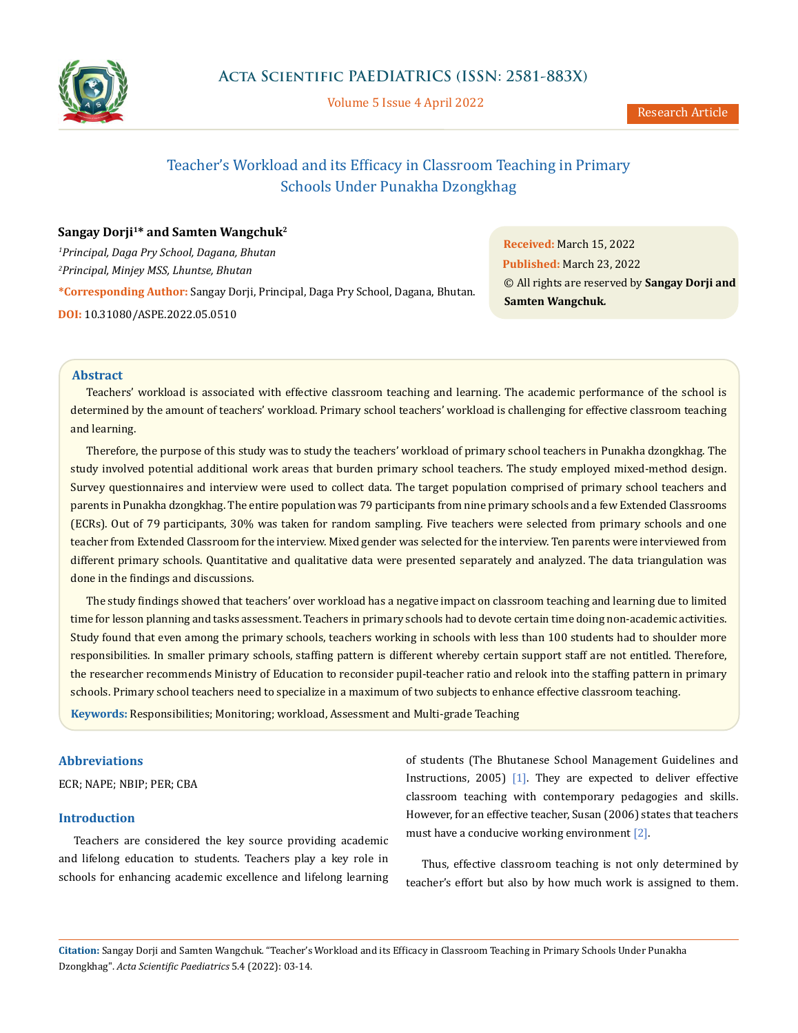

Volume 5 Issue 4 April 2022

# Teacher's Workload and its Efficacy in Classroom Teaching in Primary Schools Under Punakha Dzongkhag

## Sangay Dorji<sup>1\*</sup> and Samten Wangchuk<sup>2</sup>

*1 Principal, Daga Pry School, Dagana, Bhutan 2 Principal, Minjey MSS, Lhuntse, Bhutan* **\*Corresponding Author:** Sangay Dorji, Principal, Daga Pry School, Dagana, Bhutan. **DOI:** [10.31080/ASPE.2022.05.0510](http://actascientific.com/ASPE/pdf/ASPE-05-0510.pdf)

**Received:** March 15, 2022 **Published:** March 23, 2022 © All rights are reserved by **Sangay Dorji and Samten Wangchuk***.*

## **Abstract**

Teachers' workload is associated with effective classroom teaching and learning. The academic performance of the school is determined by the amount of teachers' workload. Primary school teachers' workload is challenging for effective classroom teaching and learning.

Therefore, the purpose of this study was to study the teachers' workload of primary school teachers in Punakha dzongkhag. The study involved potential additional work areas that burden primary school teachers. The study employed mixed-method design. Survey questionnaires and interview were used to collect data. The target population comprised of primary school teachers and parents in Punakha dzongkhag. The entire population was 79 participants from nine primary schools and a few Extended Classrooms (ECRs). Out of 79 participants, 30% was taken for random sampling. Five teachers were selected from primary schools and one teacher from Extended Classroom for the interview. Mixed gender was selected for the interview. Ten parents were interviewed from different primary schools. Quantitative and qualitative data were presented separately and analyzed. The data triangulation was done in the findings and discussions.

The study findings showed that teachers' over workload has a negative impact on classroom teaching and learning due to limited time for lesson planning and tasks assessment. Teachers in primary schools had to devote certain time doing non-academic activities. Study found that even among the primary schools, teachers working in schools with less than 100 students had to shoulder more responsibilities. In smaller primary schools, staffing pattern is different whereby certain support staff are not entitled. Therefore, the researcher recommends Ministry of Education to reconsider pupil-teacher ratio and relook into the staffing pattern in primary schools. Primary school teachers need to specialize in a maximum of two subjects to enhance effective classroom teaching.

**Keywords:** Responsibilities; Monitoring; workload, Assessment and Multi-grade Teaching

## **Abbreviations**

ECR; NAPE; NBIP; PER; CBA

## **Introduction**

Teachers are considered the key source providing academic and lifelong education to students. Teachers play a key role in schools for enhancing academic excellence and lifelong learning of students (The Bhutanese School Management Guidelines and Instructions, 2005) [1]. They are expected to deliver effective classroom teaching with contemporary pedagogies and skills. However, for an effective teacher, Susan (2006) states that teachers must have a conducive working environment [2].

Thus, effective classroom teaching is not only determined by teacher's effort but also by how much work is assigned to them.

**Citation:** Sangay Dorji and Samten Wangchuk*.* "Teacher's Workload and its Efficacy in Classroom Teaching in Primary Schools Under Punakha Dzongkhag". *Acta Scientific Paediatrics* 5.4 (2022): 03-14.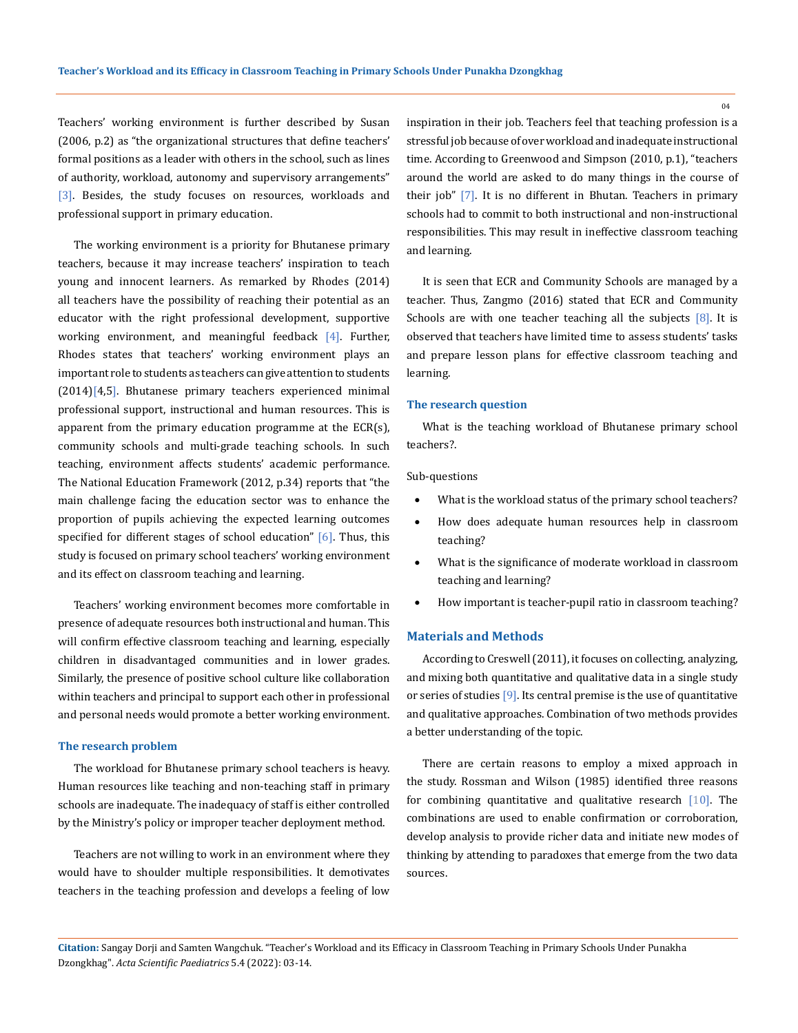Teachers' working environment is further described by Susan (2006, p.2) as "the organizational structures that define teachers' formal positions as a leader with others in the school, such as lines of authority, workload, autonomy and supervisory arrangements" [3]. Besides, the study focuses on resources, workloads and professional support in primary education.

The working environment is a priority for Bhutanese primary teachers, because it may increase teachers' inspiration to teach young and innocent learners. As remarked by Rhodes (2014) all teachers have the possibility of reaching their potential as an educator with the right professional development, supportive working environment, and meaningful feedback [4]. Further, Rhodes states that teachers' working environment plays an important role to students as teachers can give attention to students (2014)[4,5]. Bhutanese primary teachers experienced minimal professional support, instructional and human resources. This is apparent from the primary education programme at the ECR(s), community schools and multi-grade teaching schools. In such teaching, environment affects students' academic performance. The National Education Framework (2012, p.34) reports that "the main challenge facing the education sector was to enhance the proportion of pupils achieving the expected learning outcomes specified for different stages of school education"  $[6]$ . Thus, this study is focused on primary school teachers' working environment and its effect on classroom teaching and learning.

Teachers' working environment becomes more comfortable in presence of adequate resources both instructional and human. This will confirm effective classroom teaching and learning, especially children in disadvantaged communities and in lower grades. Similarly, the presence of positive school culture like collaboration within teachers and principal to support each other in professional and personal needs would promote a better working environment.

#### **The research problem**

The workload for Bhutanese primary school teachers is heavy. Human resources like teaching and non-teaching staff in primary schools are inadequate. The inadequacy of staff is either controlled by the Ministry's policy or improper teacher deployment method.

Teachers are not willing to work in an environment where they would have to shoulder multiple responsibilities. It demotivates teachers in the teaching profession and develops a feeling of low inspiration in their job. Teachers feel that teaching profession is a stressful job because of over workload and inadequate instructional time. According to Greenwood and Simpson (2010, p.1), "teachers around the world are asked to do many things in the course of their job" [7]. It is no different in Bhutan. Teachers in primary schools had to commit to both instructional and non-instructional responsibilities. This may result in ineffective classroom teaching and learning.

It is seen that ECR and Community Schools are managed by a teacher. Thus, Zangmo (2016) stated that ECR and Community Schools are with one teacher teaching all the subjects [8]. It is observed that teachers have limited time to assess students' tasks and prepare lesson plans for effective classroom teaching and learning.

### **The research question**

What is the teaching workload of Bhutanese primary school teachers?.

#### Sub-questions

- What is the workload status of the primary school teachers?
- • How does adequate human resources help in classroom teaching?
- What is the significance of moderate workload in classroom teaching and learning?
- How important is teacher-pupil ratio in classroom teaching?

#### **Materials and Methods**

According to Creswell (2011), it focuses on collecting, analyzing, and mixing both quantitative and qualitative data in a single study or series of studies [9]. Its central premise is the use of quantitative and qualitative approaches. Combination of two methods provides a better understanding of the topic.

There are certain reasons to employ a mixed approach in the study. Rossman and Wilson (1985) identified three reasons for combining quantitative and qualitative research  $[10]$ . The combinations are used to enable confirmation or corroboration, develop analysis to provide richer data and initiate new modes of thinking by attending to paradoxes that emerge from the two data sources.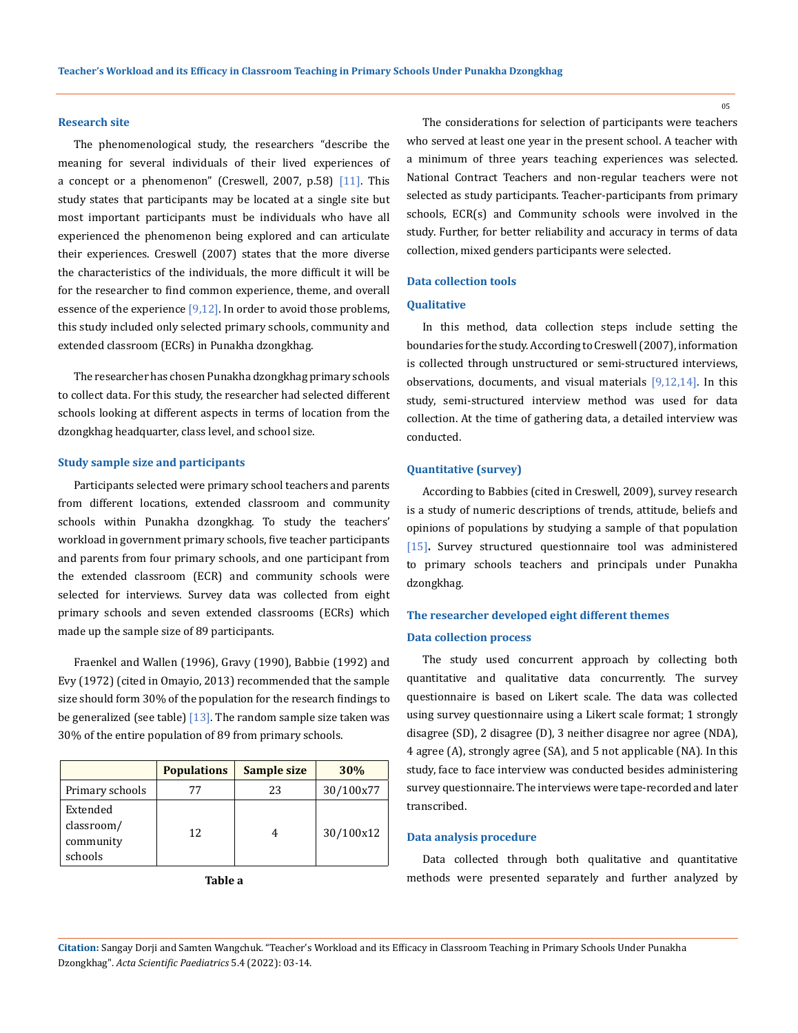## **Research site**

The phenomenological study, the researchers "describe the meaning for several individuals of their lived experiences of a concept or a phenomenon" (Creswell, 2007, p.58)  $[11]$ . This study states that participants may be located at a single site but most important participants must be individuals who have all experienced the phenomenon being explored and can articulate their experiences. Creswell (2007) states that the more diverse the characteristics of the individuals, the more difficult it will be for the researcher to find common experience, theme, and overall essence of the experience  $[9,12]$ . In order to avoid those problems, this study included only selected primary schools, community and extended classroom (ECRs) in Punakha dzongkhag.

The researcher has chosen Punakha dzongkhag primary schools to collect data. For this study, the researcher had selected different schools looking at different aspects in terms of location from the dzongkhag headquarter, class level, and school size.

#### **Study sample size and participants**

Participants selected were primary school teachers and parents from different locations, extended classroom and community schools within Punakha dzongkhag. To study the teachers' workload in government primary schools, five teacher participants and parents from four primary schools, and one participant from the extended classroom (ECR) and community schools were selected for interviews. Survey data was collected from eight primary schools and seven extended classrooms (ECRs) which made up the sample size of 89 participants.

Fraenkel and Wallen (1996), Gravy (1990), Babbie (1992) and Evy (1972) (cited in Omayio, 2013) recommended that the sample size should form 30% of the population for the research findings to be generalized (see table)  $[13]$ . The random sample size taken was 30% of the entire population of 89 from primary schools.

|                                                | <b>Populations</b> | <b>Sample size</b> | 30%       |
|------------------------------------------------|--------------------|--------------------|-----------|
| Primary schools                                | 77                 | 23                 | 30/100x77 |
| Extended<br>classroom/<br>community<br>schools | 12.                |                    | 30/100x12 |

The considerations for selection of participants were teachers who served at least one year in the present school. A teacher with a minimum of three years teaching experiences was selected. National Contract Teachers and non-regular teachers were not selected as study participants. Teacher-participants from primary schools, ECR(s) and Community schools were involved in the study. Further, for better reliability and accuracy in terms of data collection, mixed genders participants were selected.

#### **Data collection tools**

#### **Qualitative**

In this method, data collection steps include setting the boundaries for the study. According to Creswell (2007), information is collected through unstructured or semi-structured interviews, observations, documents, and visual materials [9,12,14]. In this study, semi-structured interview method was used for data collection. At the time of gathering data, a detailed interview was conducted.

#### **Quantitative (survey)**

According to Babbies (cited in Creswell, 2009), survey research is a study of numeric descriptions of trends, attitude, beliefs and opinions of populations by studying a sample of that population [15]**.** Survey structured questionnaire tool was administered to primary schools teachers and principals under Punakha dzongkhag.

## **The researcher developed eight different themes**

## **Data collection process**

The study used concurrent approach by collecting both quantitative and qualitative data concurrently. The survey questionnaire is based on Likert scale. The data was collected using survey questionnaire using a Likert scale format; 1 strongly disagree (SD), 2 disagree (D), 3 neither disagree nor agree (NDA), 4 agree (A), strongly agree (SA), and 5 not applicable (NA). In this study, face to face interview was conducted besides administering survey questionnaire. The interviews were tape-recorded and later transcribed.

## **Data analysis procedure**

Data collected through both qualitative and quantitative methods were presented separately and further analyzed by

**Citation:** Sangay Dorji and Samten Wangchuk*.* "Teacher's Workload and its Efficacy in Classroom Teaching in Primary Schools Under Punakha Dzongkhag". *Acta Scientific Paediatrics* 5.4 (2022): 03-14.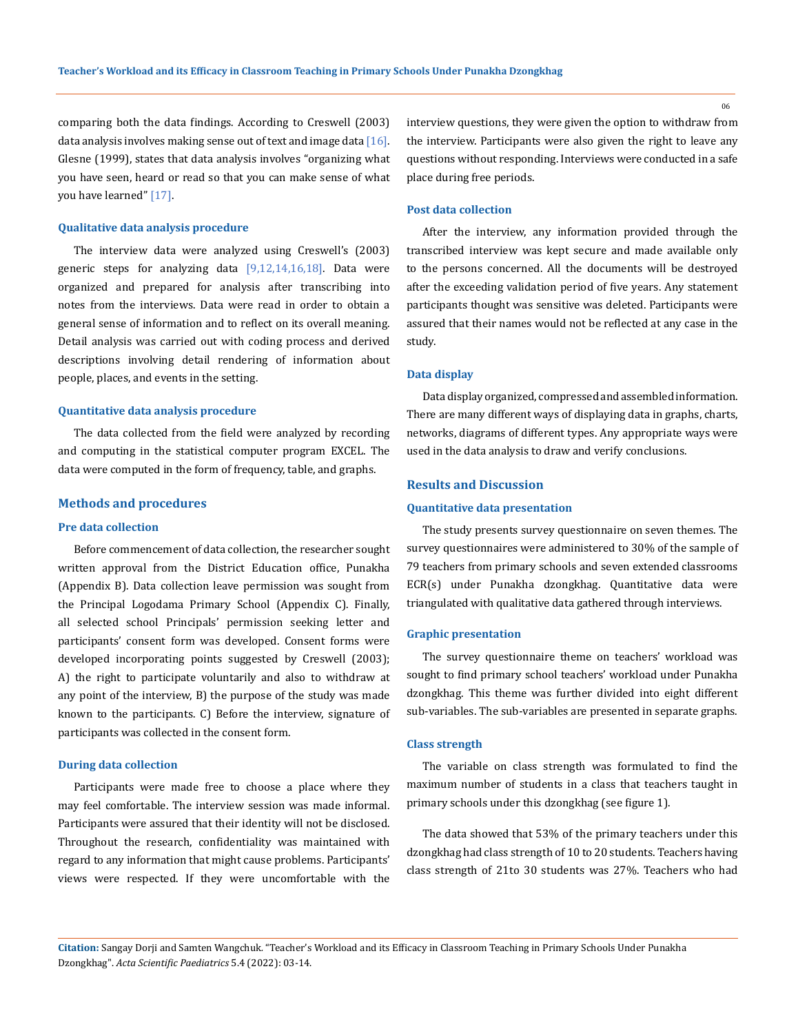comparing both the data findings. According to Creswell (2003) data analysis involves making sense out of text and image data [16]. Glesne (1999), states that data analysis involves "organizing what you have seen, heard or read so that you can make sense of what you have learned" [17].

### **Qualitative data analysis procedure**

The interview data were analyzed using Creswell's (2003) generic steps for analyzing data  $[9,12,14,16,18]$ . Data were organized and prepared for analysis after transcribing into notes from the interviews. Data were read in order to obtain a general sense of information and to reflect on its overall meaning. Detail analysis was carried out with coding process and derived descriptions involving detail rendering of information about people, places, and events in the setting.

## **Quantitative data analysis procedure**

The data collected from the field were analyzed by recording and computing in the statistical computer program EXCEL. The data were computed in the form of frequency, table, and graphs.

#### **Methods and procedures**

## **Pre data collection**

Before commencement of data collection, the researcher sought written approval from the District Education office, Punakha (Appendix B). Data collection leave permission was sought from the Principal Logodama Primary School (Appendix C). Finally, all selected school Principals' permission seeking letter and participants' consent form was developed. Consent forms were developed incorporating points suggested by Creswell (2003); A) the right to participate voluntarily and also to withdraw at any point of the interview, B) the purpose of the study was made known to the participants. C) Before the interview, signature of participants was collected in the consent form.

#### **During data collection**

Participants were made free to choose a place where they may feel comfortable. The interview session was made informal. Participants were assured that their identity will not be disclosed. Throughout the research, confidentiality was maintained with regard to any information that might cause problems. Participants' views were respected. If they were uncomfortable with the interview questions, they were given the option to withdraw from the interview. Participants were also given the right to leave any questions without responding. Interviews were conducted in a safe place during free periods.

## **Post data collection**

After the interview, any information provided through the transcribed interview was kept secure and made available only to the persons concerned. All the documents will be destroyed after the exceeding validation period of five years. Any statement participants thought was sensitive was deleted. Participants were assured that their names would not be reflected at any case in the study.

#### **Data display**

Data display organized, compressed and assembled information. There are many different ways of displaying data in graphs, charts, networks, diagrams of different types. Any appropriate ways were used in the data analysis to draw and verify conclusions.

#### **Results and Discussion**

## **Quantitative data presentation**

The study presents survey questionnaire on seven themes. The survey questionnaires were administered to 30% of the sample of 79 teachers from primary schools and seven extended classrooms ECR(s) under Punakha dzongkhag. Quantitative data were triangulated with qualitative data gathered through interviews.

#### **Graphic presentation**

The survey questionnaire theme on teachers' workload was sought to find primary school teachers' workload under Punakha dzongkhag. This theme was further divided into eight different sub-variables. The sub-variables are presented in separate graphs.

## **Class strength**

The variable on class strength was formulated to find the maximum number of students in a class that teachers taught in primary schools under this dzongkhag (see figure 1).

The data showed that 53% of the primary teachers under this dzongkhag had class strength of 10 to 20 students. Teachers having class strength of 21to 30 students was 27%. Teachers who had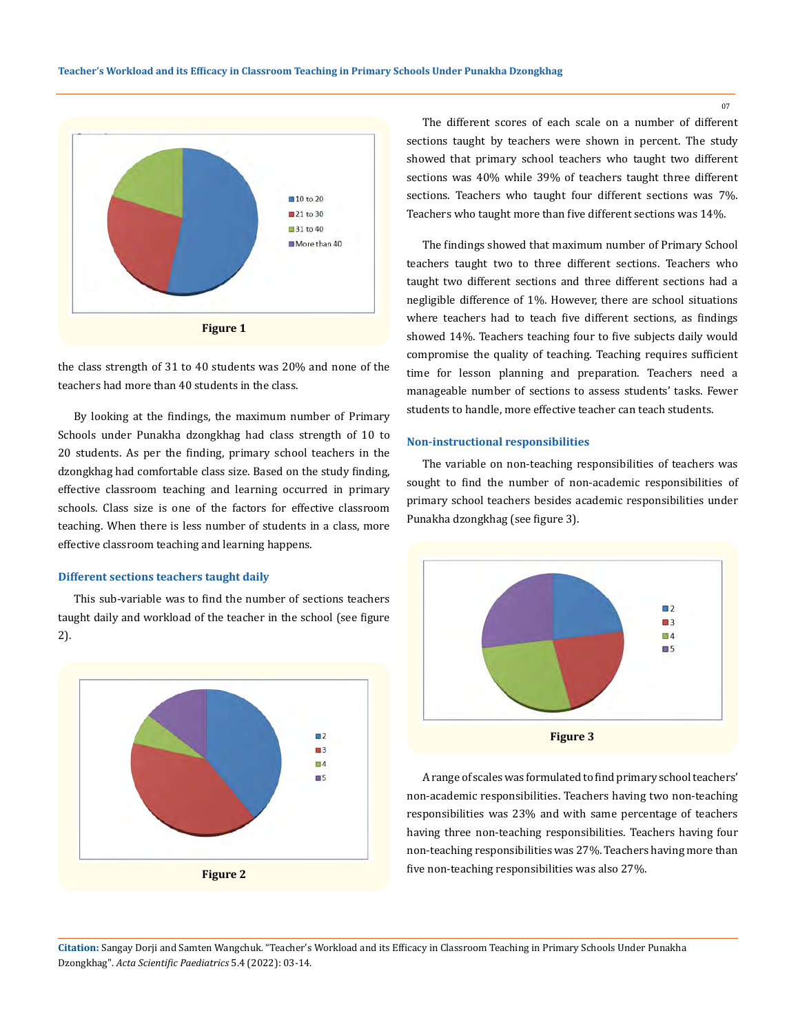

the class strength of 31 to 40 students was 20% and none of the teachers had more than 40 students in the class.

By looking at the findings, the maximum number of Primary Schools under Punakha dzongkhag had class strength of 10 to 20 students. As per the finding, primary school teachers in the dzongkhag had comfortable class size. Based on the study finding, effective classroom teaching and learning occurred in primary schools. Class size is one of the factors for effective classroom teaching. When there is less number of students in a class, more effective classroom teaching and learning happens.

#### **Different sections teachers taught daily**

This sub-variable was to find the number of sections teachers taught daily and workload of the teacher in the school (see figure 2).



The different scores of each scale on a number of different sections taught by teachers were shown in percent. The study showed that primary school teachers who taught two different sections was 40% while 39% of teachers taught three different sections. Teachers who taught four different sections was 7%. Teachers who taught more than five different sections was 14%.

The findings showed that maximum number of Primary School teachers taught two to three different sections. Teachers who taught two different sections and three different sections had a negligible difference of 1%. However, there are school situations where teachers had to teach five different sections, as findings showed 14%. Teachers teaching four to five subjects daily would compromise the quality of teaching. Teaching requires sufficient time for lesson planning and preparation. Teachers need a manageable number of sections to assess students' tasks. Fewer students to handle, more effective teacher can teach students.

## **Non-instructional responsibilities**

The variable on non-teaching responsibilities of teachers was sought to find the number of non-academic responsibilities of primary school teachers besides academic responsibilities under Punakha dzongkhag (see figure 3).



A range of scales was formulated to find primary school teachers' non-academic responsibilities. Teachers having two non-teaching responsibilities was 23% and with same percentage of teachers having three non-teaching responsibilities. Teachers having four non-teaching responsibilities was 27%. Teachers having more than five non-teaching responsibilities was also 27%.

**Citation:** Sangay Dorji and Samten Wangchuk*.* "Teacher's Workload and its Efficacy in Classroom Teaching in Primary Schools Under Punakha Dzongkhag". *Acta Scientific Paediatrics* 5.4 (2022): 03-14.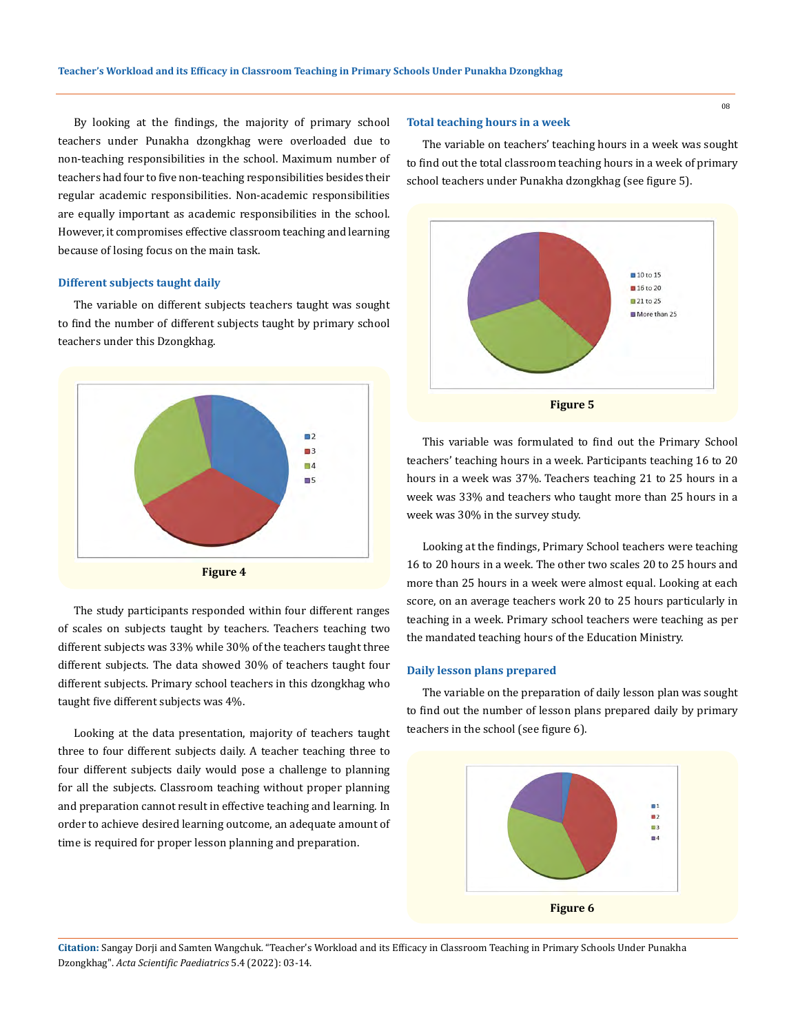By looking at the findings, the majority of primary school teachers under Punakha dzongkhag were overloaded due to non-teaching responsibilities in the school. Maximum number of teachers had four to five non-teaching responsibilities besides their regular academic responsibilities. Non-academic responsibilities are equally important as academic responsibilities in the school. However, it compromises effective classroom teaching and learning because of losing focus on the main task.

## **Different subjects taught daily**

The variable on different subjects teachers taught was sought to find the number of different subjects taught by primary school teachers under this Dzongkhag.



The study participants responded within four different ranges of scales on subjects taught by teachers. Teachers teaching two different subjects was 33% while 30% of the teachers taught three different subjects. The data showed 30% of teachers taught four different subjects. Primary school teachers in this dzongkhag who taught five different subjects was 4%.

Looking at the data presentation, majority of teachers taught three to four different subjects daily. A teacher teaching three to four different subjects daily would pose a challenge to planning for all the subjects. Classroom teaching without proper planning and preparation cannot result in effective teaching and learning. In order to achieve desired learning outcome, an adequate amount of time is required for proper lesson planning and preparation.

## **Total teaching hours in a week**

The variable on teachers' teaching hours in a week was sought to find out the total classroom teaching hours in a week of primary school teachers under Punakha dzongkhag (see figure 5).



This variable was formulated to find out the Primary School teachers' teaching hours in a week. Participants teaching 16 to 20 hours in a week was 37%. Teachers teaching 21 to 25 hours in a week was 33% and teachers who taught more than 25 hours in a week was 30% in the survey study.

Looking at the findings, Primary School teachers were teaching 16 to 20 hours in a week. The other two scales 20 to 25 hours and more than 25 hours in a week were almost equal. Looking at each score, on an average teachers work 20 to 25 hours particularly in teaching in a week. Primary school teachers were teaching as per the mandated teaching hours of the Education Ministry.

#### **Daily lesson plans prepared**

The variable on the preparation of daily lesson plan was sought to find out the number of lesson plans prepared daily by primary teachers in the school (see figure 6).

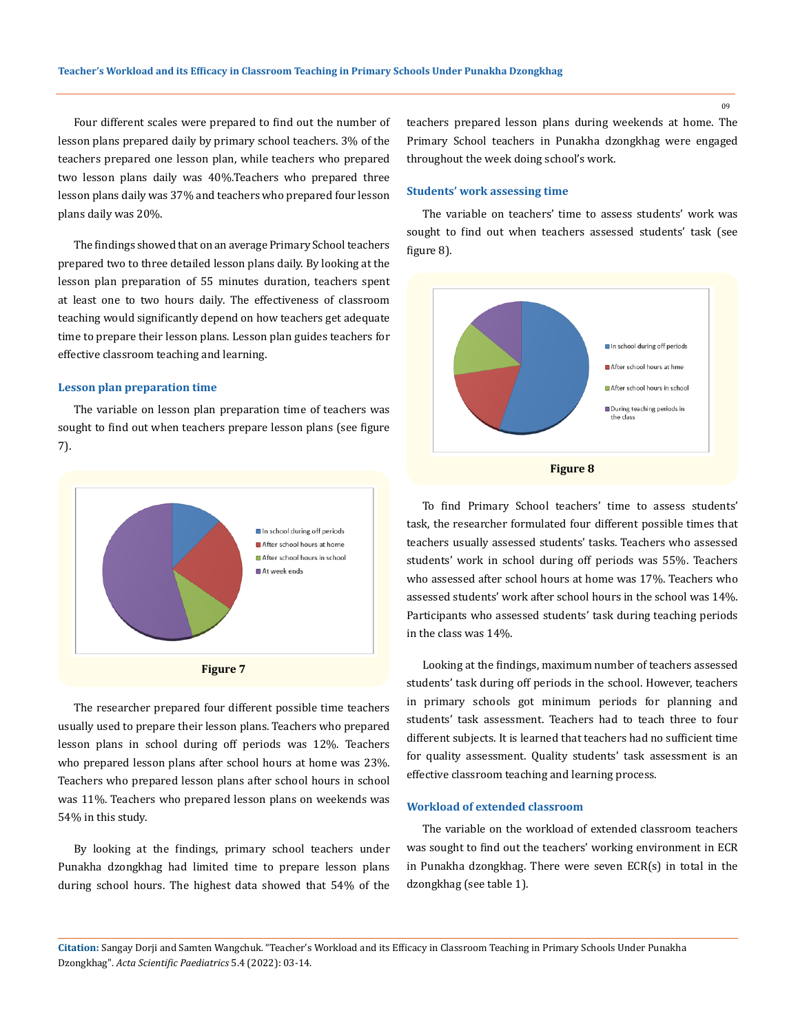Four different scales were prepared to find out the number of lesson plans prepared daily by primary school teachers. 3% of the teachers prepared one lesson plan, while teachers who prepared two lesson plans daily was 40%.Teachers who prepared three lesson plans daily was 37% and teachers who prepared four lesson plans daily was 20%.

The findings showed that on an average Primary School teachers prepared two to three detailed lesson plans daily. By looking at the lesson plan preparation of 55 minutes duration, teachers spent at least one to two hours daily. The effectiveness of classroom teaching would significantly depend on how teachers get adequate time to prepare their lesson plans. Lesson plan guides teachers for effective classroom teaching and learning.

## **Lesson plan preparation time**

The variable on lesson plan preparation time of teachers was sought to find out when teachers prepare lesson plans (see figure 7).



The researcher prepared four different possible time teachers usually used to prepare their lesson plans. Teachers who prepared lesson plans in school during off periods was 12%. Teachers who prepared lesson plans after school hours at home was 23%. Teachers who prepared lesson plans after school hours in school was 11%. Teachers who prepared lesson plans on weekends was 54% in this study.

By looking at the findings, primary school teachers under Punakha dzongkhag had limited time to prepare lesson plans during school hours. The highest data showed that 54% of the teachers prepared lesson plans during weekends at home. The Primary School teachers in Punakha dzongkhag were engaged throughout the week doing school's work.

## **Students' work assessing time**

The variable on teachers' time to assess students' work was sought to find out when teachers assessed students' task (see figure 8).



To find Primary School teachers' time to assess students' task, the researcher formulated four different possible times that teachers usually assessed students' tasks. Teachers who assessed students' work in school during off periods was 55%. Teachers who assessed after school hours at home was 17%. Teachers who assessed students' work after school hours in the school was 14%. Participants who assessed students' task during teaching periods in the class was 14%.

Looking at the findings, maximum number of teachers assessed students' task during off periods in the school. However, teachers in primary schools got minimum periods for planning and students' task assessment. Teachers had to teach three to four different subjects. It is learned that teachers had no sufficient time for quality assessment. Quality students' task assessment is an effective classroom teaching and learning process.

## **Workload of extended classroom**

The variable on the workload of extended classroom teachers was sought to find out the teachers' working environment in ECR in Punakha dzongkhag. There were seven ECR(s) in total in the dzongkhag (see table 1).

**Citation:** Sangay Dorji and Samten Wangchuk*.* "Teacher's Workload and its Efficacy in Classroom Teaching in Primary Schools Under Punakha Dzongkhag". *Acta Scientific Paediatrics* 5.4 (2022): 03-14.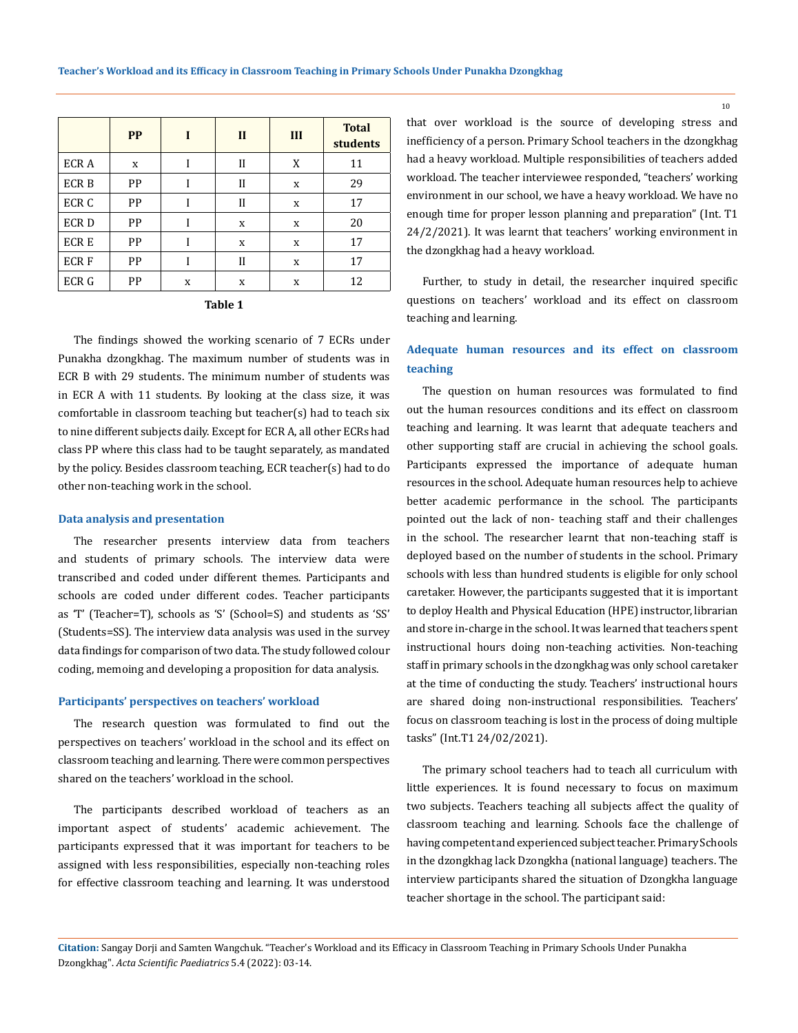|                  | <b>PP</b> | I | $\mathbf{I}$ | III         | <b>Total</b><br>students |
|------------------|-----------|---|--------------|-------------|--------------------------|
| ECR A            | X         |   | $\mathbf{I}$ | X           | 11                       |
| <b>ECRB</b>      | PP        |   | $\mathbf{I}$ | $\mathbf X$ | 29                       |
| ECR <sub>C</sub> | PP        |   | $\mathbf{I}$ | $\mathbf X$ | 17                       |
| ECR D            | PP        | Ī | $\mathbf X$  | $\mathbf X$ | 20                       |
| <b>ECRE</b>      | PP        |   | $\mathbf X$  | X           | 17                       |
| <b>ECRF</b>      | PP        |   | $\mathbf{I}$ | $\mathbf X$ | 17                       |
| ECR G            | PP        | X | X            | X           | 12                       |

| П<br>п<br>н |
|-------------|
|-------------|

The findings showed the working scenario of 7 ECRs under Punakha dzongkhag. The maximum number of students was in ECR B with 29 students. The minimum number of students was in ECR A with 11 students. By looking at the class size, it was comfortable in classroom teaching but teacher(s) had to teach six to nine different subjects daily. Except for ECR A, all other ECRs had class PP where this class had to be taught separately, as mandated by the policy. Besides classroom teaching, ECR teacher(s) had to do other non-teaching work in the school.

#### **Data analysis and presentation**

The researcher presents interview data from teachers and students of primary schools. The interview data were transcribed and coded under different themes. Participants and schools are coded under different codes. Teacher participants as 'T' (Teacher=T), schools as 'S' (School=S) and students as 'SS' (Students=SS). The interview data analysis was used in the survey data findings for comparison of two data. The study followed colour coding, memoing and developing a proposition for data analysis.

#### **Participants' perspectives on teachers' workload**

The research question was formulated to find out the perspectives on teachers' workload in the school and its effect on classroom teaching and learning. There were common perspectives shared on the teachers' workload in the school.

The participants described workload of teachers as an important aspect of students' academic achievement. The participants expressed that it was important for teachers to be assigned with less responsibilities, especially non-teaching roles for effective classroom teaching and learning. It was understood that over workload is the source of developing stress and inefficiency of a person. Primary School teachers in the dzongkhag had a heavy workload. Multiple responsibilities of teachers added workload. The teacher interviewee responded, "teachers' working environment in our school, we have a heavy workload. We have no enough time for proper lesson planning and preparation" (Int. T1 24/2/2021). It was learnt that teachers' working environment in the dzongkhag had a heavy workload.

Further, to study in detail, the researcher inquired specific questions on teachers' workload and its effect on classroom teaching and learning.

## **Adequate human resources and its effect on classroom teaching**

The question on human resources was formulated to find out the human resources conditions and its effect on classroom teaching and learning. It was learnt that adequate teachers and other supporting staff are crucial in achieving the school goals. Participants expressed the importance of adequate human resources in the school. Adequate human resources help to achieve better academic performance in the school. The participants pointed out the lack of non- teaching staff and their challenges in the school. The researcher learnt that non-teaching staff is deployed based on the number of students in the school. Primary schools with less than hundred students is eligible for only school caretaker. However, the participants suggested that it is important to deploy Health and Physical Education (HPE) instructor, librarian and store in-charge in the school. It was learned that teachers spent instructional hours doing non-teaching activities. Non-teaching staff in primary schools in the dzongkhag was only school caretaker at the time of conducting the study. Teachers' instructional hours are shared doing non-instructional responsibilities. Teachers' focus on classroom teaching is lost in the process of doing multiple tasks" (Int.T1 24/02/2021).

The primary school teachers had to teach all curriculum with little experiences. It is found necessary to focus on maximum two subjects. Teachers teaching all subjects affect the quality of classroom teaching and learning. Schools face the challenge of having competent and experienced subject teacher. Primary Schools in the dzongkhag lack Dzongkha (national language) teachers. The interview participants shared the situation of Dzongkha language teacher shortage in the school. The participant said:

**Citation:** Sangay Dorji and Samten Wangchuk*.* "Teacher's Workload and its Efficacy in Classroom Teaching in Primary Schools Under Punakha Dzongkhag". *Acta Scientific Paediatrics* 5.4 (2022): 03-14.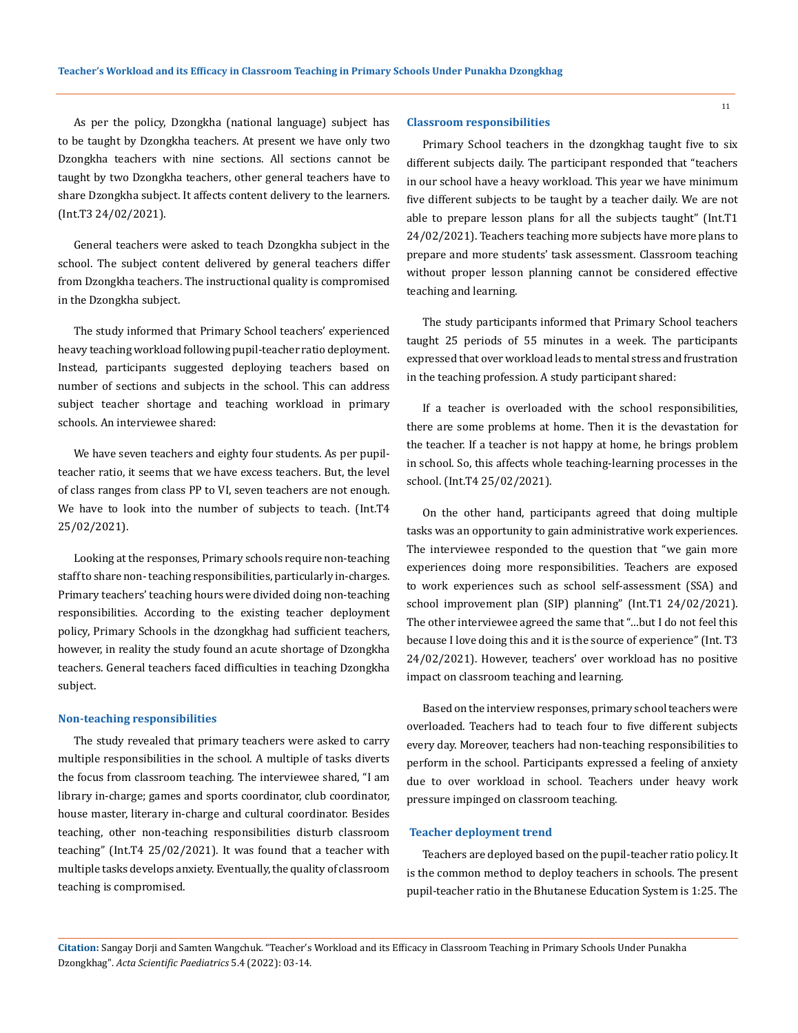As per the policy, Dzongkha (national language) subject has to be taught by Dzongkha teachers. At present we have only two Dzongkha teachers with nine sections. All sections cannot be taught by two Dzongkha teachers, other general teachers have to share Dzongkha subject. It affects content delivery to the learners. (Int.T3 24/02/2021).

General teachers were asked to teach Dzongkha subject in the school. The subject content delivered by general teachers differ from Dzongkha teachers. The instructional quality is compromised in the Dzongkha subject.

The study informed that Primary School teachers' experienced heavy teaching workload following pupil-teacher ratio deployment. Instead, participants suggested deploying teachers based on number of sections and subjects in the school. This can address subject teacher shortage and teaching workload in primary schools. An interviewee shared:

We have seven teachers and eighty four students. As per pupilteacher ratio, it seems that we have excess teachers. But, the level of class ranges from class PP to VI, seven teachers are not enough. We have to look into the number of subjects to teach. (Int.T4 25/02/2021).

Looking at the responses, Primary schools require non-teaching staff to share non- teaching responsibilities, particularly in-charges. Primary teachers' teaching hours were divided doing non-teaching responsibilities. According to the existing teacher deployment policy, Primary Schools in the dzongkhag had sufficient teachers, however, in reality the study found an acute shortage of Dzongkha teachers. General teachers faced difficulties in teaching Dzongkha subject.

#### **Non-teaching responsibilities**

The study revealed that primary teachers were asked to carry multiple responsibilities in the school. A multiple of tasks diverts the focus from classroom teaching. The interviewee shared, "I am library in-charge; games and sports coordinator, club coordinator, house master, literary in-charge and cultural coordinator. Besides teaching, other non-teaching responsibilities disturb classroom teaching" (Int.T4 25/02/2021). It was found that a teacher with multiple tasks develops anxiety. Eventually, the quality of classroom teaching is compromised.

#### **Classroom responsibilities**

Primary School teachers in the dzongkhag taught five to six different subjects daily. The participant responded that "teachers in our school have a heavy workload. This year we have minimum five different subjects to be taught by a teacher daily. We are not able to prepare lesson plans for all the subjects taught" (Int.T1 24/02/2021). Teachers teaching more subjects have more plans to prepare and more students' task assessment. Classroom teaching without proper lesson planning cannot be considered effective teaching and learning.

The study participants informed that Primary School teachers taught 25 periods of 55 minutes in a week. The participants expressed that over workload leads to mental stress and frustration in the teaching profession. A study participant shared:

If a teacher is overloaded with the school responsibilities, there are some problems at home. Then it is the devastation for the teacher. If a teacher is not happy at home, he brings problem in school. So, this affects whole teaching-learning processes in the school. (Int.T4 25/02/2021).

On the other hand, participants agreed that doing multiple tasks was an opportunity to gain administrative work experiences. The interviewee responded to the question that "we gain more experiences doing more responsibilities. Teachers are exposed to work experiences such as school self-assessment (SSA) and school improvement plan (SIP) planning" (Int.T1 24/02/2021). The other interviewee agreed the same that "…but I do not feel this because I love doing this and it is the source of experience" (Int. T3 24/02/2021). However, teachers' over workload has no positive impact on classroom teaching and learning.

Based on the interview responses, primary school teachers were overloaded. Teachers had to teach four to five different subjects every day. Moreover, teachers had non-teaching responsibilities to perform in the school. Participants expressed a feeling of anxiety due to over workload in school. Teachers under heavy work pressure impinged on classroom teaching.

#### **Teacher deployment trend**

Teachers are deployed based on the pupil-teacher ratio policy. It is the common method to deploy teachers in schools. The present pupil-teacher ratio in the Bhutanese Education System is 1:25. The

**Citation:** Sangay Dorji and Samten Wangchuk*.* "Teacher's Workload and its Efficacy in Classroom Teaching in Primary Schools Under Punakha Dzongkhag". *Acta Scientific Paediatrics* 5.4 (2022): 03-14.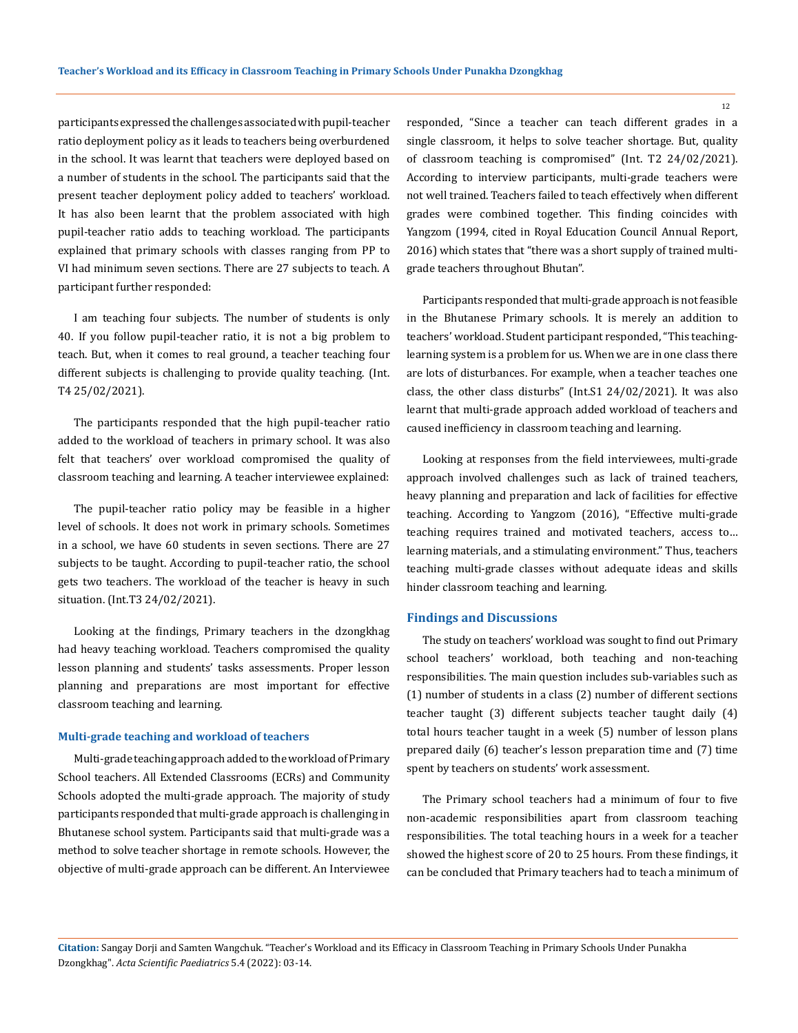participants expressed the challenges associated with pupil-teacher ratio deployment policy as it leads to teachers being overburdened in the school. It was learnt that teachers were deployed based on a number of students in the school. The participants said that the present teacher deployment policy added to teachers' workload. It has also been learnt that the problem associated with high pupil-teacher ratio adds to teaching workload. The participants explained that primary schools with classes ranging from PP to VI had minimum seven sections. There are 27 subjects to teach. A participant further responded:

I am teaching four subjects. The number of students is only 40. If you follow pupil-teacher ratio, it is not a big problem to teach. But, when it comes to real ground, a teacher teaching four different subjects is challenging to provide quality teaching. (Int. T4 25/02/2021).

The participants responded that the high pupil-teacher ratio added to the workload of teachers in primary school. It was also felt that teachers' over workload compromised the quality of classroom teaching and learning. A teacher interviewee explained:

The pupil-teacher ratio policy may be feasible in a higher level of schools. It does not work in primary schools. Sometimes in a school, we have 60 students in seven sections. There are 27 subjects to be taught. According to pupil-teacher ratio, the school gets two teachers. The workload of the teacher is heavy in such situation. (Int.T3 24/02/2021).

Looking at the findings, Primary teachers in the dzongkhag had heavy teaching workload. Teachers compromised the quality lesson planning and students' tasks assessments. Proper lesson planning and preparations are most important for effective classroom teaching and learning.

#### **Multi-grade teaching and workload of teachers**

Multi-grade teaching approach added to the workload of Primary School teachers. All Extended Classrooms (ECRs) and Community Schools adopted the multi-grade approach. The majority of study participants responded that multi-grade approach is challenging in Bhutanese school system. Participants said that multi-grade was a method to solve teacher shortage in remote schools. However, the objective of multi-grade approach can be different. An Interviewee responded, "Since a teacher can teach different grades in a single classroom, it helps to solve teacher shortage. But, quality of classroom teaching is compromised" (Int. T2 24/02/2021). According to interview participants, multi-grade teachers were not well trained. Teachers failed to teach effectively when different grades were combined together. This finding coincides with Yangzom (1994, cited in Royal Education Council Annual Report, 2016) which states that "there was a short supply of trained multigrade teachers throughout Bhutan".

Participants responded that multi-grade approach is not feasible in the Bhutanese Primary schools. It is merely an addition to teachers' workload. Student participant responded, "This teachinglearning system is a problem for us. When we are in one class there are lots of disturbances. For example, when a teacher teaches one class, the other class disturbs" (Int.S1 24/02/2021). It was also learnt that multi-grade approach added workload of teachers and caused inefficiency in classroom teaching and learning.

Looking at responses from the field interviewees, multi-grade approach involved challenges such as lack of trained teachers, heavy planning and preparation and lack of facilities for effective teaching. According to Yangzom (2016), "Effective multi-grade teaching requires trained and motivated teachers, access to… learning materials, and a stimulating environment." Thus, teachers teaching multi-grade classes without adequate ideas and skills hinder classroom teaching and learning.

## **Findings and Discussions**

The study on teachers' workload was sought to find out Primary school teachers' workload, both teaching and non-teaching responsibilities. The main question includes sub-variables such as (1) number of students in a class (2) number of different sections teacher taught (3) different subjects teacher taught daily (4) total hours teacher taught in a week (5) number of lesson plans prepared daily (6) teacher's lesson preparation time and (7) time spent by teachers on students' work assessment.

The Primary school teachers had a minimum of four to five non-academic responsibilities apart from classroom teaching responsibilities. The total teaching hours in a week for a teacher showed the highest score of 20 to 25 hours. From these findings, it can be concluded that Primary teachers had to teach a minimum of

**Citation:** Sangay Dorji and Samten Wangchuk*.* "Teacher's Workload and its Efficacy in Classroom Teaching in Primary Schools Under Punakha Dzongkhag". *Acta Scientific Paediatrics* 5.4 (2022): 03-14.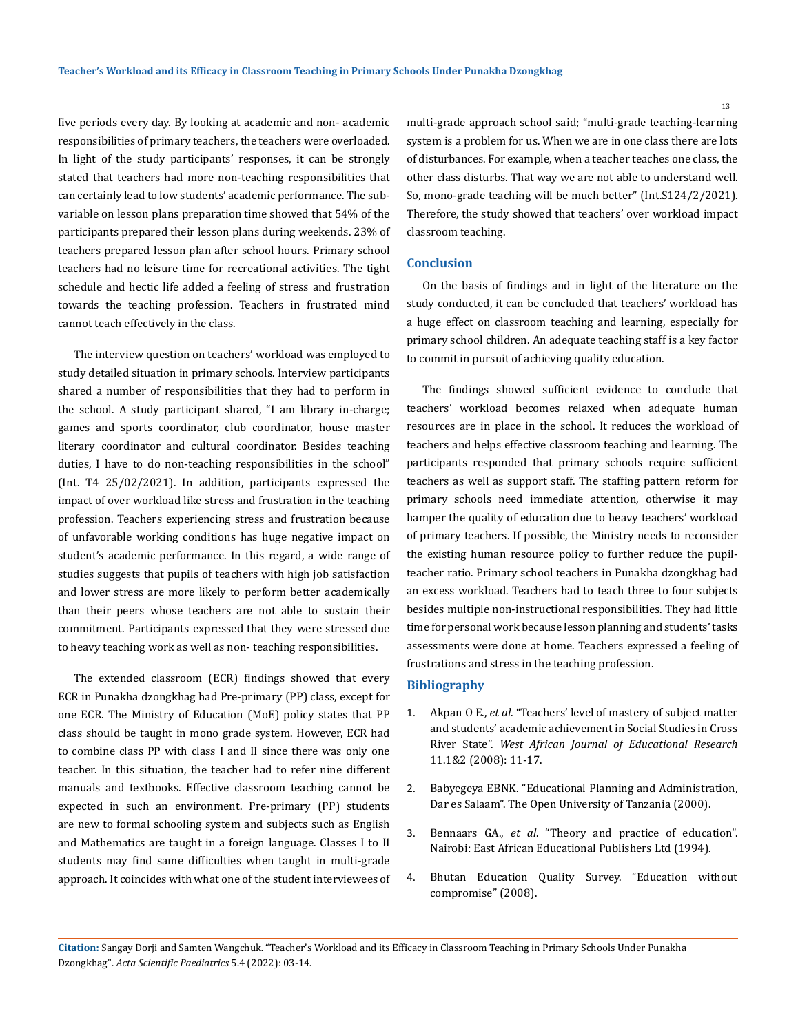five periods every day. By looking at academic and non- academic responsibilities of primary teachers, the teachers were overloaded. In light of the study participants' responses, it can be strongly stated that teachers had more non-teaching responsibilities that can certainly lead to low students' academic performance. The subvariable on lesson plans preparation time showed that 54% of the participants prepared their lesson plans during weekends. 23% of teachers prepared lesson plan after school hours. Primary school teachers had no leisure time for recreational activities. The tight schedule and hectic life added a feeling of stress and frustration towards the teaching profession. Teachers in frustrated mind cannot teach effectively in the class.

The interview question on teachers' workload was employed to study detailed situation in primary schools. Interview participants shared a number of responsibilities that they had to perform in the school. A study participant shared, "I am library in-charge; games and sports coordinator, club coordinator, house master literary coordinator and cultural coordinator. Besides teaching duties, I have to do non-teaching responsibilities in the school" (Int. T4 25/02/2021). In addition, participants expressed the impact of over workload like stress and frustration in the teaching profession. Teachers experiencing stress and frustration because of unfavorable working conditions has huge negative impact on student's academic performance. In this regard, a wide range of studies suggests that pupils of teachers with high job satisfaction and lower stress are more likely to perform better academically than their peers whose teachers are not able to sustain their commitment. Participants expressed that they were stressed due to heavy teaching work as well as non- teaching responsibilities.

The extended classroom (ECR) findings showed that every ECR in Punakha dzongkhag had Pre-primary (PP) class, except for one ECR. The Ministry of Education (MoE) policy states that PP class should be taught in mono grade system. However, ECR had to combine class PP with class I and II since there was only one teacher. In this situation, the teacher had to refer nine different manuals and textbooks. Effective classroom teaching cannot be expected in such an environment. Pre-primary (PP) students are new to formal schooling system and subjects such as English and Mathematics are taught in a foreign language. Classes I to II students may find same difficulties when taught in multi-grade approach. It coincides with what one of the student interviewees of multi-grade approach school said; "multi-grade teaching-learning system is a problem for us. When we are in one class there are lots of disturbances. For example, when a teacher teaches one class, the other class disturbs. That way we are not able to understand well. So, mono-grade teaching will be much better" (Int.S124/2/2021). Therefore, the study showed that teachers' over workload impact classroom teaching.

## **Conclusion**

On the basis of findings and in light of the literature on the study conducted, it can be concluded that teachers' workload has a huge effect on classroom teaching and learning, especially for primary school children. An adequate teaching staff is a key factor to commit in pursuit of achieving quality education.

The findings showed sufficient evidence to conclude that teachers' workload becomes relaxed when adequate human resources are in place in the school. It reduces the workload of teachers and helps effective classroom teaching and learning. The participants responded that primary schools require sufficient teachers as well as support staff. The staffing pattern reform for primary schools need immediate attention, otherwise it may hamper the quality of education due to heavy teachers' workload of primary teachers. If possible, the Ministry needs to reconsider the existing human resource policy to further reduce the pupilteacher ratio. Primary school teachers in Punakha dzongkhag had an excess workload. Teachers had to teach three to four subjects besides multiple non-instructional responsibilities. They had little time for personal work because lesson planning and students' tasks assessments were done at home. Teachers expressed a feeling of frustrations and stress in the teaching profession.

## **Bibliography**

- 1. Akpan O E., *et al*[. "Teachers' level of mastery of subject matter](https://www.researchgate.net/publication/340845032_Teacher) [and students' academic achievement in Social Studies in Cross](https://www.researchgate.net/publication/340845032_Teacher) River State". *[West African Journal of Educational Research](https://www.researchgate.net/publication/340845032_Teacher)* [11.1&2 \(2008\): 11-17.](https://www.researchgate.net/publication/340845032_Teacher)
- 2. [Babyegeya EBNK. "Educational Planning and Administration,](http://196.216.247.5/cgi-bin/koha/opac-detail.pl?biblionumber=7646) [Dar es Salaam". The Open University of Tanzania \(2000\).](http://196.216.247.5/cgi-bin/koha/opac-detail.pl?biblionumber=7646)
- 3. Bennaars GA., *et al*. "Theory and practice of education". Nairobi: East African Educational Publishers Ltd (1994).
- 4. Bhutan Education Quality Survey. "Education without compromise" (2008).

**Citation:** Sangay Dorji and Samten Wangchuk*.* "Teacher's Workload and its Efficacy in Classroom Teaching in Primary Schools Under Punakha Dzongkhag". *Acta Scientific Paediatrics* 5.4 (2022): 03-14.